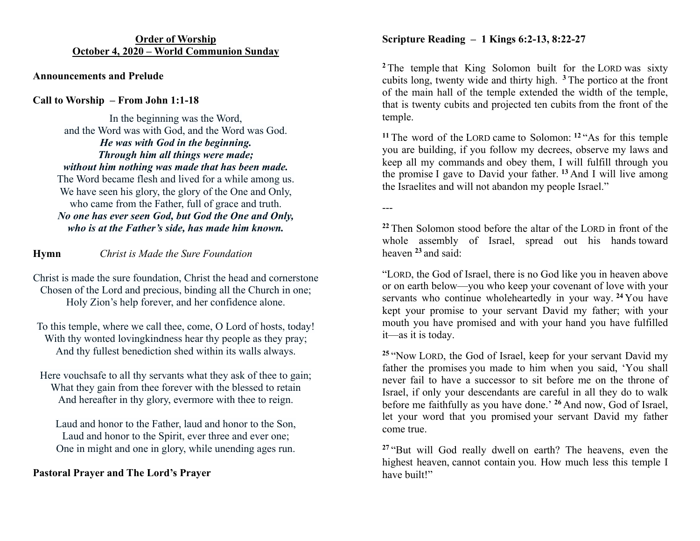# **Order of Worship October 4, 2020 – World Communion Sunday**

### **Announcements and Prelude**

# **Call to Worship – From John 1:1-18**

In the beginning was the Word, and the Word was with God, and the Word was God. *He was with God in the beginning. Through him all things were made; without him nothing was made that has been made.* The Word became flesh and lived for a while among us. We have seen his glory, the glory of the One and Only, who came from the Father, full of grace and truth. *No one has ever seen God, but God the One and Only, who is at the Father's side, has made him known.*

**Hymn** *Christ is Made the Sure Foundation*

Christ is made the sure foundation, Christ the head and cornerstone Chosen of the Lord and precious, binding all the Church in one; Holy Zion's help forever, and her confidence alone.

To this temple, where we call thee, come, O Lord of hosts, today! With thy wonted loving kindness hear thy people as they pray; And thy fullest benediction shed within its walls always.

Here vouchsafe to all thy servants what they ask of thee to gain; What they gain from thee forever with the blessed to retain And hereafter in thy glory, evermore with thee to reign.

Laud and honor to the Father, laud and honor to the Son, Laud and honor to the Spirit, ever three and ever one; One in might and one in glory, while unending ages run.

**Pastoral Prayer and The Lord's Prayer**

# **Scripture Reading – 1 Kings 6:2-13, 8:22-27**

<sup>2</sup> The temple that King Solomon built for the LORD was sixty cubits long, twenty wide and thirty high. **<sup>3</sup>** The portico at the front of the main hall of the temple extended the width of the temple, that is twenty cubits and projected ten cubits from the front of the temple.

**<sup>11</sup>** The word of the LORD came to Solomon: **<sup>12</sup>** "As for this temple you are building, if you follow my decrees, observe my laws and keep all my commands and obey them, I will fulfill through you the promise I gave to David your father. **<sup>13</sup>** And I will live among the Israelites and will not abandon my people Israel."

---

**<sup>22</sup>** Then Solomon stood before the altar of the LORD in front of the whole assembly of Israel, spread out his hands toward heaven **<sup>23</sup>** and said:

"LORD, the God of Israel, there is no God like you in heaven above or on earth below—you who keep your covenant of love with your servants who continue wholeheartedly in your way. **<sup>24</sup>** You have kept your promise to your servant David my father; with your mouth you have promised and with your hand you have fulfilled it—as it is today.

**<sup>25</sup>** "Now LORD, the God of Israel, keep for your servant David my father the promises you made to him when you said, 'You shall never fail to have a successor to sit before me on the throne of Israel, if only your descendants are careful in all they do to walk before me faithfully as you have done.' **<sup>26</sup>** And now, God of Israel, let your word that you promised your servant David my father come true.

**<sup>27</sup>** "But will God really dwell on earth? The heavens, even the highest heaven, cannot contain you. How much less this temple I have built!"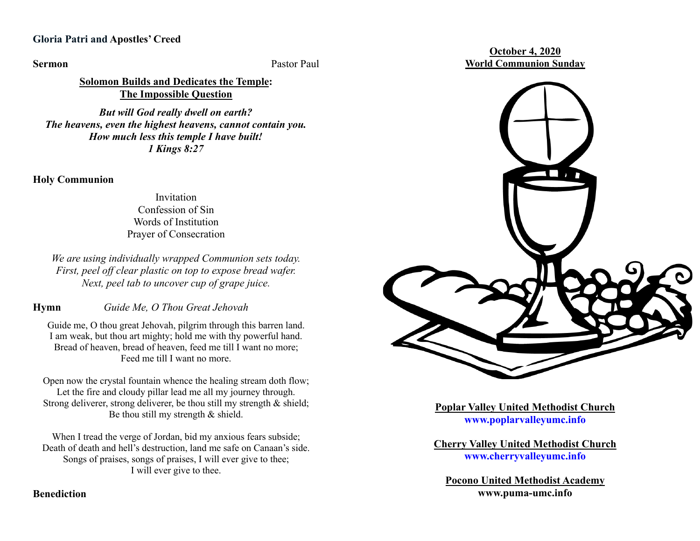## **Gloria Patri and Apostles' Creed**

**Sermon** Pastor Paul

**Solomon Builds and Dedicates the Temple: The Impossible Question**

*But will God really dwell on earth? The heavens, even the highest heavens, cannot contain you. How much less this temple I have built! 1 Kings 8:27*

**Holy Communion**

Invitation Confession of Sin Words of Institution Prayer of Consecration

*We are using individually wrapped Communion sets today. First, peel off clear plastic on top to expose bread wafer. Next, peel tab to uncover cup of grape juice.*

**Hymn** *Guide Me, O Thou Great Jehovah*

Guide me, O thou great Jehovah, pilgrim through this barren land. I am weak, but thou art mighty; hold me with thy powerful hand. Bread of heaven, bread of heaven, feed me till I want no more; Feed me till I want no more.

Open now the crystal fountain whence the healing stream doth flow; Let the fire and cloudy pillar lead me all my journey through. Strong deliverer, strong deliverer, be thou still my strength & shield; Be thou still my strength & shield.

When I tread the verge of Jordan, bid my anxious fears subside; Death of death and hell's destruction, land me safe on Canaan's side. Songs of praises, songs of praises, I will ever give to thee; I will ever give to thee.

**October 4, 2020 World Communion Sunday**



**Poplar Valley United Methodist Church www.poplarvalleyumc.info**

**Cherry Valley United Methodist Church www.cherryvalleyumc.info**

**Pocono United Methodist Academy www.puma-umc.info**

#### **Benediction**